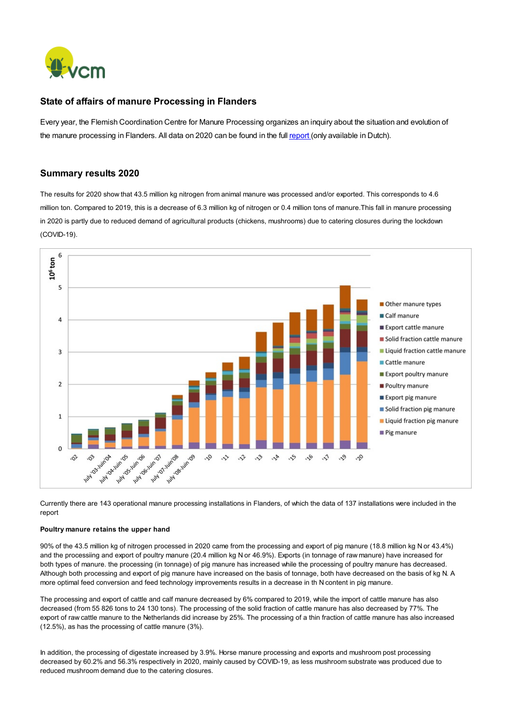

## State of affairs of manure Processing in Flanders

Every year, the Flemish Coordination Centre for Manure Processing organizes an inquiry about the situation and evolution of the manure processing in Flanders. All data on 2020 can be found in the full [report](https://www.vcm-mestverwerking.be/nl/document/222/202179144757785_rapport-mestverwerking-2020-finaal.pdf) (only available in Dutch).

## Summary results 2020

The results for 2020 show that 43.5 million kg nitrogen from animal manure was processed and/or exported. This corresponds to 4.6 million ton. Compared to 2019, this is a decrease of 6.3 million kg of nitrogen or 0.4 million tons of manure.This fall in manure processing in 2020 is partly due to reduced demand of agricultural products (chickens, mushrooms) due to catering closures during the lockdown (COVID-19).



Currently there are 143 operational manure processing installations in Flanders, of which the data of 137 installations were included in the report

## Poultry manure retains the upper hand

90% of the 43.5 million kg of nitrogen processed in 2020 came from the processing and export of pig manure (18.8 million kg N or 43.4%) and the processiing and export of poultry manure (20.4 million kg N or 46.9%). Exports (in tonnage of raw manure) have increased for both types of manure. the processing (in tonnage) of pig manure has increased while the processing of poultry manure has decreased. Although both processing and export of pig manure have increased on the basis of tonnage, both have decreased on the basis of kg N. A more optimal feed conversion and feed technology improvements results in a decrease in th N content in pig manure.

The processing and export of cattle and calf manure decreased by 6% compared to 2019, while the import of cattle manure has also decreased (from 55 826 tons to 24 130 tons). The processing of the solid fraction of cattle manure has also decreased by 77%. The export of raw cattle manure to the Netherlands did increase by 25%. The processing of a thin fraction of cattle manure has also increased (12.5%), as has the processing of cattle manure (3%).

In addition, the processing of digestate increased by 3.9%. Horse manure processing and exports and mushroom post processing decreased by 60.2% and 56.3% respectively in 2020, mainly caused by COVID-19, as less mushroom substrate was produced due to reduced mushroom demand due to the catering closures.